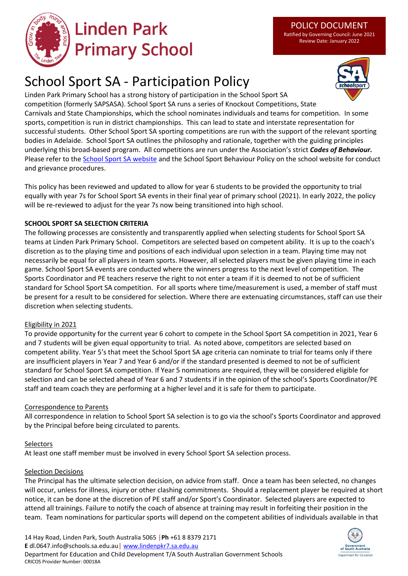

# **Linden Park Primary School**

Ratified by Governing Council: June 2021 Review Date: January 2022

# School Sport SA - Participation Policy



Linden Park Primary School has a strong history of participation in the School Sport SA competition (formerly SAPSASA). School Sport SA runs a series of Knockout Competitions, State Carnivals and State Championships, which the school nominates individuals and teams for competition. In some sports, competition is run in district championships. This can lead to state and interstate representation for successful students. Other School Sport SA sporting competitions are run with the support of the relevant sporting bodies in Adelaide. School Sport SA outlines the philosophy and rationale, together with the guiding principles underlying this broad-based program. All competitions are run under the Association's strict *Codes of Behaviour.*  Please refer to the [School Sport SA](https://www.education.sa.gov.au/schools-and-educators/programs-students/school-sport-sa) website and the School Sport Behaviour Policy on the school website for conduct and grievance procedures.

This policy has been reviewed and updated to allow for year 6 students to be provided the opportunity to trial equally with year 7s for School Sport SA events in their final year of primary school (2021). In early 2022, the policy will be re-reviewed to adjust for the year 7s now being transitioned into high school.

#### **SCHOOL SPORT SA SELECTION CRITERIA**

The following processes are consistently and transparently applied when selecting students for School Sport SA teams at Linden Park Primary School. Competitors are selected based on competent ability. It is up to the coach's discretion as to the playing time and positions of each individual upon selection in a team. Playing time may not necessarily be equal for all players in team sports. However, all selected players must be given playing time in each game. School Sport SA events are conducted where the winners progress to the next level of competition. The Sports Coordinator and PE teachers reserve the right to not enter a team if it is deemed to not be of sufficient standard for School Sport SA competition. For all sports where time/measurement is used, a member of staff must be present for a result to be considered for selection. Where there are extenuating circumstances, staff can use their discretion when selecting students.

#### Eligibility in 2021

To provide opportunity for the current year 6 cohort to compete in the School Sport SA competition in 2021, Year 6 and 7 students will be given equal opportunity to trial. As noted above, competitors are selected based on competent ability. Year 5's that meet the School Sport SA age criteria can nominate to trial for teams only if there are insufficient players in Year 7 and Year 6 and/or if the standard presented is deemed to not be of sufficient standard for School Sport SA competition. If Year 5 nominations are required, they will be considered eligible for selection and can be selected ahead of Year 6 and 7 students if in the opinion of the school's Sports Coordinator/PE staff and team coach they are performing at a higher level and it is safe for them to participate.

#### Correspondence to Parents

All correspondence in relation to School Sport SA selection is to go via the school's Sports Coordinator and approved by the Principal before being circulated to parents.

#### Selectors

At least one staff member must be involved in every School Sport SA selection process.

#### Selection Decisions

The Principal has the ultimate selection decision, on advice from staff. Once a team has been selected, no changes will occur, unless for illness, injury or other clashing commitments. Should a replacement player be required at short notice, it can be done at the discretion of PE staff and/or Sport's Coordinator. Selected players are expected to attend all trainings. Failure to notify the coach of absence at training may result in forfeiting their position in the team. Team nominations for particular sports will depend on the competent abilities of individuals available in that

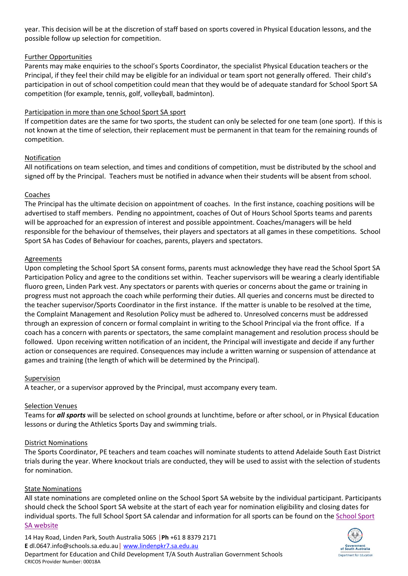year. This decision will be at the discretion of staff based on sports covered in Physical Education lessons, and the possible follow up selection for competition.

#### Further Opportunities

Parents may make enquiries to the school's Sports Coordinator, the specialist Physical Education teachers or the Principal, if they feel their child may be eligible for an individual or team sport not generally offered. Their child's participation in out of school competition could mean that they would be of adequate standard for School Sport SA competition (for example, tennis, golf, volleyball, badminton).

#### Participation in more than one School Sport SA sport

If competition dates are the same for two sports, the student can only be selected for one team (one sport). If this is not known at the time of selection, their replacement must be permanent in that team for the remaining rounds of competition.

#### Notification

All notifications on team selection, and times and conditions of competition, must be distributed by the school and signed off by the Principal. Teachers must be notified in advance when their students will be absent from school.

#### Coaches

The Principal has the ultimate decision on appointment of coaches. In the first instance, coaching positions will be advertised to staff members. Pending no appointment, coaches of Out of Hours School Sports teams and parents will be approached for an expression of interest and possible appointment. Coaches/managers will be held responsible for the behaviour of themselves, their players and spectators at all games in these competitions. School Sport SA has Codes of Behaviour for coaches, parents, players and spectators.

#### Agreements

Upon completing the School Sport SA consent forms, parents must acknowledge they have read the School Sport SA Participation Policy and agree to the conditions set within. Teacher supervisors will be wearing a clearly identifiable fluoro green, Linden Park vest. Any spectators or parents with queries or concerns about the game or training in progress must not approach the coach while performing their duties. All queries and concerns must be directed to the teacher supervisor/Sports Coordinator in the first instance. If the matter is unable to be resolved at the time, the Complaint Management and Resolution Policy must be adhered to. Unresolved concerns must be addressed through an expression of concern or formal complaint in writing to the School Principal via the front office. If a coach has a concern with parents or spectators, the same complaint management and resolution process should be followed. Upon receiving written notification of an incident, the Principal will investigate and decide if any further action or consequences are required. Consequences may include a written warning or suspension of attendance at games and training (the length of which will be determined by the Principal).

#### Supervision

A teacher, or a supervisor approved by the Principal, must accompany every team.

#### Selection Venues

Teams for *all sports* will be selected on school grounds at lunchtime, before or after school, or in Physical Education lessons or during the Athletics Sports Day and swimming trials.

#### District Nominations

The Sports Coordinator, PE teachers and team coaches will nominate students to attend Adelaide South East District trials during the year. Where knockout trials are conducted, they will be used to assist with the selection of students for nomination.

#### State Nominations

All state nominations are completed online on the School Sport SA website by the individual participant. Participants should check the School Sport SA website at the start of each year for nomination eligibility and closing dates for individual sports. The full School Sport SA calendar and information for all sports can be found on the [School Sport](https://www.education.sa.gov.au/schools-and-educators/programs-students/school-sport-sa)  SA [website](https://www.education.sa.gov.au/schools-and-educators/programs-students/school-sport-sa)

14 Hay Road, Linden Park, South Australia 5065 │**Ph** +61 8 8379 2171 **E** dl.0647.info@schools.sa.edu.au│ [www.lindenpkr7.sa.edu.au](http://www.lindenpkr7.sa.edu.au/) Department for Education and Child Development T/A South Australian Government Schools CRICOS Provider Number: 00018A

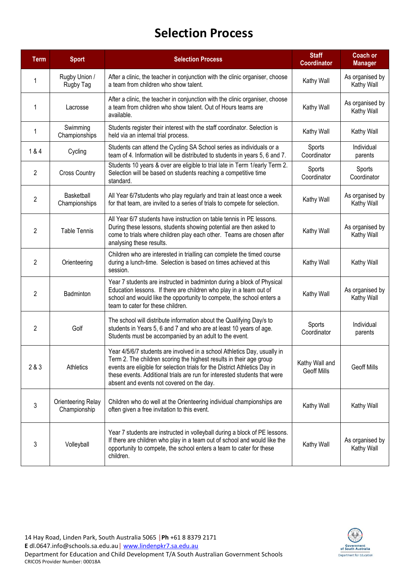### **Selection Process**

| <b>Term</b>    | <b>Sport</b>                       | <b>Selection Process</b>                                                                                                                                                                                                                                                                                                                                | <b>Staff</b><br><b>Coordinator</b>   | <b>Coach or</b><br><b>Manager</b> |
|----------------|------------------------------------|---------------------------------------------------------------------------------------------------------------------------------------------------------------------------------------------------------------------------------------------------------------------------------------------------------------------------------------------------------|--------------------------------------|-----------------------------------|
| 1              | Rugby Union /<br>Rugby Tag         | After a clinic, the teacher in conjunction with the clinic organiser, choose<br>a team from children who show talent.                                                                                                                                                                                                                                   | Kathy Wall                           | As organised by<br>Kathy Wall     |
| 1              | Lacrosse                           | After a clinic, the teacher in conjunction with the clinic organiser, choose<br>a team from children who show talent. Out of Hours teams are<br>available.                                                                                                                                                                                              | Kathy Wall                           | As organised by<br>Kathy Wall     |
| 1              | Swimming<br>Championships          | Students register their interest with the staff coordinator. Selection is<br>held via an internal trial process.                                                                                                                                                                                                                                        | Kathy Wall                           | Kathy Wall                        |
| 1&4            | Cycling                            | Students can attend the Cycling SA School series as individuals or a<br>team of 4. Information will be distributed to students in years 5, 6 and 7.                                                                                                                                                                                                     | Sports<br>Coordinator                | Individual<br>parents             |
| $\overline{2}$ | <b>Cross Country</b>               | Students 10 years & over are eligible to trial late in Term 1/early Term 2.<br>Selection will be based on students reaching a competitive time<br>standard.                                                                                                                                                                                             | Sports<br>Coordinator                | Sports<br>Coordinator             |
| $\overline{2}$ | Basketball<br>Championships        | All Year 6/7 students who play regularly and train at least once a week<br>for that team, are invited to a series of trials to compete for selection.                                                                                                                                                                                                   | Kathy Wall                           | As organised by<br>Kathy Wall     |
| $\overline{2}$ | <b>Table Tennis</b>                | All Year 6/7 students have instruction on table tennis in PE lessons.<br>During these lessons, students showing potential are then asked to<br>come to trials where children play each other. Teams are chosen after<br>analysing these results.                                                                                                        | Kathy Wall                           | As organised by<br>Kathy Wall     |
| $\overline{2}$ | Orienteering                       | Children who are interested in trialling can complete the timed course<br>during a lunch-time. Selection is based on times achieved at this<br>session.                                                                                                                                                                                                 | Kathy Wall                           | Kathy Wall                        |
| 2              | <b>Badminton</b>                   | Year 7 students are instructed in badminton during a block of Physical<br>Education lessons. If there are children who play in a team out of<br>school and would like the opportunity to compete, the school enters a<br>team to cater for these children.                                                                                              | Kathy Wall                           | As organised by<br>Kathy Wall     |
| 2              | Golf                               | The school will distribute information about the Qualifying Day/s to<br>students in Years 5, 6 and 7 and who are at least 10 years of age.<br>Students must be accompanied by an adult to the event.                                                                                                                                                    | Sports<br>Coordinator                | Individual<br>parents             |
| 2 & 3          | Athletics                          | Year 4/5/6/7 students are involved in a school Athletics Day, usually in<br>Term 2. The children scoring the highest results in their age group<br>events are eligible for selection trials for the District Athletics Day in<br>these events. Additional trials are run for interested students that were<br>absent and events not covered on the day. | Kathy Wall and<br><b>Geoff Mills</b> | <b>Geoff Mills</b>                |
| 3              | Orienteering Relay<br>Championship | Children who do well at the Orienteering individual championships are<br>often given a free invitation to this event.                                                                                                                                                                                                                                   | Kathy Wall                           | Kathy Wall                        |
| 3              | Volleyball                         | Year 7 students are instructed in volleyball during a block of PE lessons.<br>If there are children who play in a team out of school and would like the<br>opportunity to compete, the school enters a team to cater for these<br>children.                                                                                                             | Kathy Wall                           | As organised by<br>Kathy Wall     |